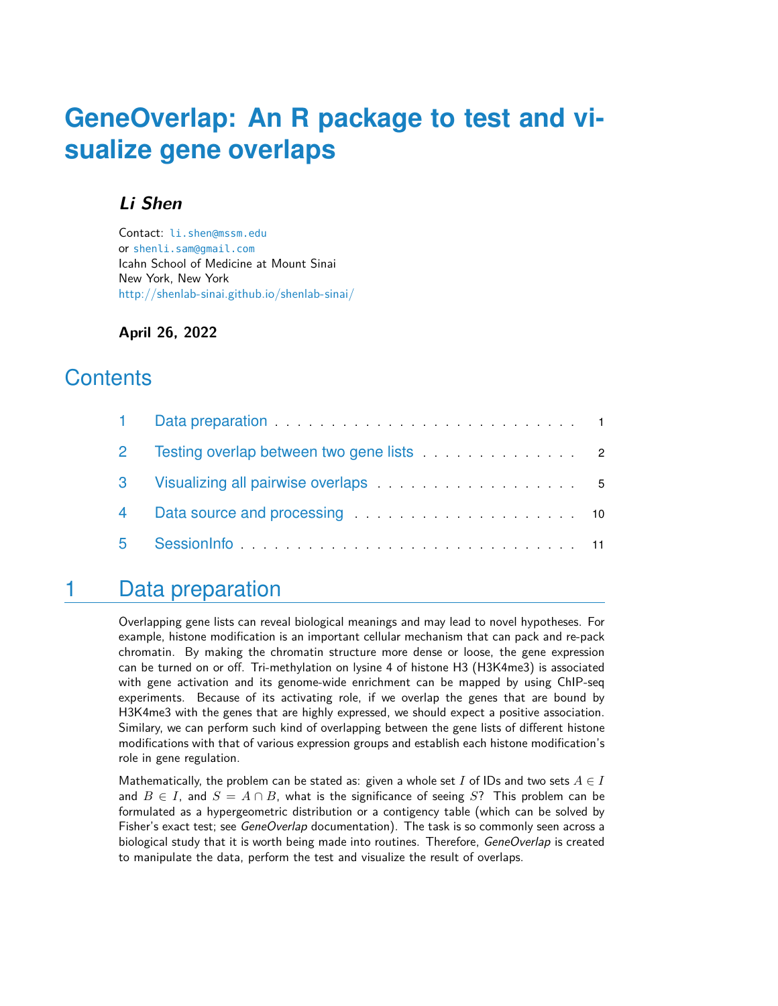# **GeneOverlap: An R package to test and visualize gene overlaps**

#### **Li Shen**

Contact: [li.shen@mssm.edu](mailto:li.shen@mssm.edu) or [shenli.sam@gmail.com](mailto:shenli.sam@gmail.com) Icahn School of Medicine at Mount Sinai New York, New York <http://shenlab-sinai.github.io/shenlab-sinai/>

**April 26, 2022**

## **Contents**

| $\overline{2}$ |  |
|----------------|--|
|                |  |
|                |  |
| 5              |  |

## <span id="page-0-0"></span>1 Data preparation

Overlapping gene lists can reveal biological meanings and may lead to novel hypotheses. For example, histone modification is an important cellular mechanism that can pack and re-pack chromatin. By making the chromatin structure more dense or loose, the gene expression can be turned on or off. Tri-methylation on lysine 4 of histone H3 (H3K4me3) is associated with gene activation and its genome-wide enrichment can be mapped by using ChIP-seq experiments. Because of its activating role, if we overlap the genes that are bound by H3K4me3 with the genes that are highly expressed, we should expect a positive association. Similary, we can perform such kind of overlapping between the gene lists of different histone modifications with that of various expression groups and establish each histone modification's role in gene regulation.

Mathematically, the problem can be stated as: given a whole set I of IDs and two sets  $A \in I$ and  $B \in I$ , and  $S = A \cap B$ , what is the significance of seeing S? This problem can be formulated as a hypergeometric distribution or a contigency table (which can be solved by Fisher's exact test; see GeneOverlap documentation). The task is so commonly seen across a biological study that it is worth being made into routines. Therefore, GeneOverlap is created to manipulate the data, perform the test and visualize the result of overlaps.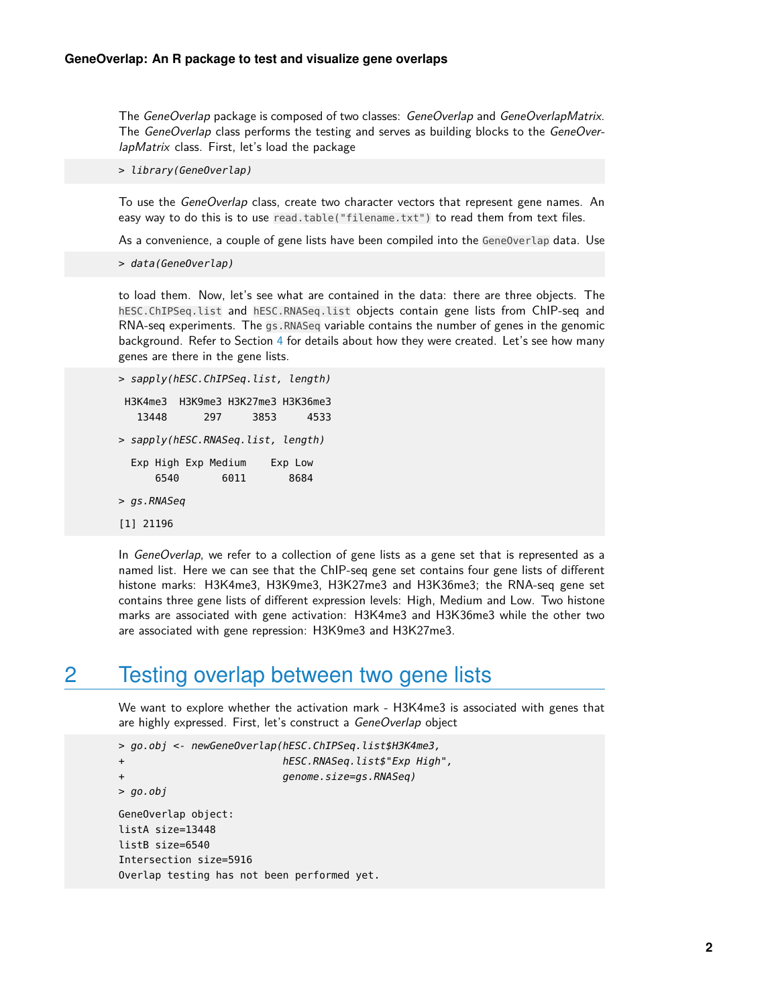The GeneOverlap package is composed of two classes: GeneOverlap and GeneOverlapMatrix. The GeneOverlap class performs the testing and serves as building blocks to the GeneOverlapMatrix class. First, let's load the package

> library(GeneOverlap)

To use the *GeneOverlap* class, create two character vectors that represent gene names. An easy way to do this is to use read.table("filename.txt") to read them from text files.

As a convenience, a couple of gene lists have been compiled into the GeneOverlap data. Use

```
> data(GeneOverlap)
```
to load them. Now, let's see what are contained in the data: there are three objects. The hESC.ChIPSeq.list and hESC.RNASeq.list objects contain gene lists from ChIP-seq and RNA-seq experiments. The gs.RNASeq variable contains the number of genes in the genomic background. Refer to Section [4](#page-9-0) for details about how they were created. Let's see how many genes are there in the gene lists.

```
> sapply(hESC.ChIPSeq.list, length)
H3K4me3 H3K9me3 H3K27me3 H3K36me3
  13448 297 3853 4533
> sapply(hESC.RNASeq.list, length)
 Exp High Exp Medium Exp Low
     6540 6011 8684
> gs.RNASeq
[1] 21196
```
In *GeneOverlap*, we refer to a collection of gene lists as a gene set that is represented as a named list. Here we can see that the ChIP-seq gene set contains four gene lists of different histone marks: H3K4me3, H3K9me3, H3K27me3 and H3K36me3; the RNA-seq gene set contains three gene lists of different expression levels: High, Medium and Low. Two histone marks are associated with gene activation: H3K4me3 and H3K36me3 while the other two are associated with gene repression: H3K9me3 and H3K27me3.

#### <span id="page-1-0"></span>2 Testing overlap between two gene lists

We want to explore whether the activation mark - H3K4me3 is associated with genes that are highly expressed. First, let's construct a GeneOverlap object

```
> go.obj <- newGeneOverlap(hESC.ChIPSeq.list$H3K4me3,
+ hESC.RNASeq.list$"Exp High",
+ genome.size=gs.RNASeq)
> qo.obj
GeneOverlap object:
listA size=13448
listB size=6540
Intersection size=5916
```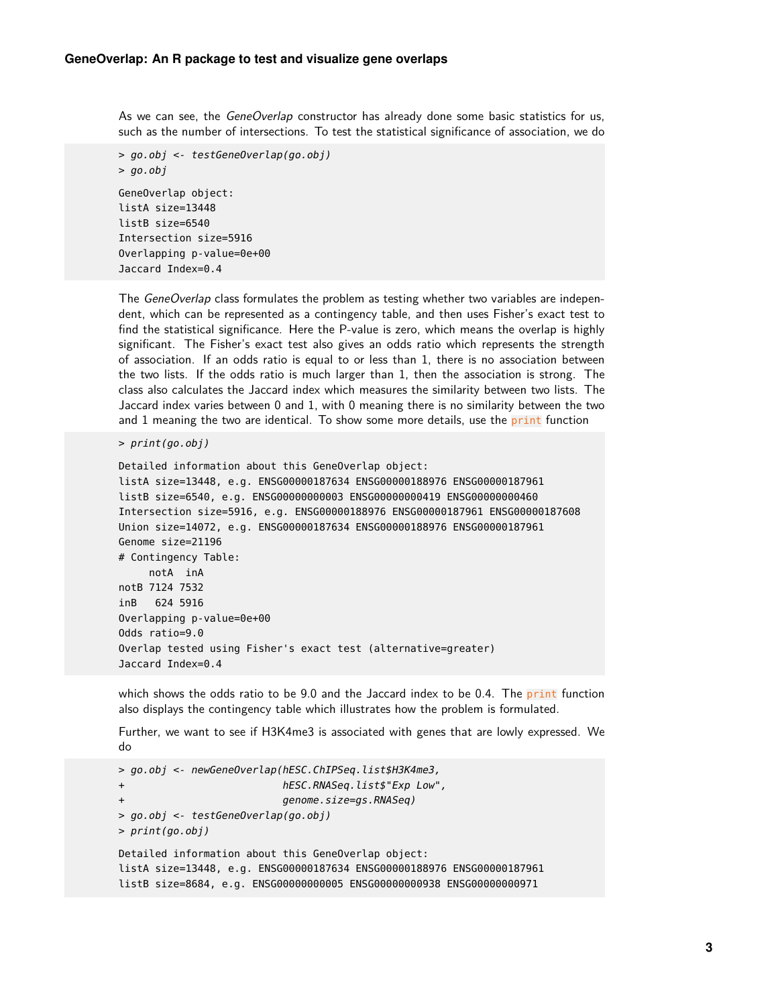As we can see, the *GeneOverlap* constructor has already done some basic statistics for us, such as the number of intersections. To test the statistical significance of association, we do

```
> go.obj <- testGeneOverlap(go.obj)
> go.obj
GeneOverlap object:
listA size=13448
listB size=6540
Intersection size=5916
Overlapping p-value=0e+00
Jaccard Index=0.4
```
The GeneOverlap class formulates the problem as testing whether two variables are independent, which can be represented as a contingency table, and then uses Fisher's exact test to find the statistical significance. Here the P-value is zero, which means the overlap is highly significant. The Fisher's exact test also gives an odds ratio which represents the strength of association. If an odds ratio is equal to or less than 1, there is no association between the two lists. If the odds ratio is much larger than 1, then the association is strong. The class also calculates the Jaccard index which measures the similarity between two lists. The Jaccard index varies between 0 and 1, with 0 meaning there is no similarity between the two and 1 meaning the two are identical. To show some more details, use the print function

```
> print(go.obj)
```

```
Detailed information about this GeneOverlap object:
listA size=13448, e.g. ENSG00000187634 ENSG00000188976 ENSG00000187961
listB size=6540, e.g. ENSG00000000003 ENSG00000000419 ENSG00000000460
Intersection size=5916, e.g. ENSG00000188976 ENSG00000187961 ENSG00000187608
Union size=14072, e.g. ENSG00000187634 ENSG00000188976 ENSG00000187961
Genome size=21196
# Contingency Table:
     notA inA
notB 7124 7532
inB 624 5916
Overlapping p-value=0e+00
Odds ratio=9.0
Overlap tested using Fisher's exact test (alternative=greater)
Jaccard Index=0.4
```
which shows the odds ratio to be  $9.0$  and the Jaccard index to be  $0.4$ . The print function also displays the contingency table which illustrates how the problem is formulated.

Further, we want to see if H3K4me3 is associated with genes that are lowly expressed. We do

```
> go.obj <- newGeneOverlap(hESC.ChIPSeq.list$H3K4me3,
+ hESC.RNASeq.list$"Exp Low",
                         genome.size=gs.RNASeq)
> go.obj <- testGeneOverlap(go.obj)
> print(go.obj)
Detailed information about this GeneOverlap object:
listA size=13448, e.g. ENSG00000187634 ENSG00000188976 ENSG00000187961
listB size=8684, e.g. ENSG00000000005 ENSG00000000938 ENSG00000000971
```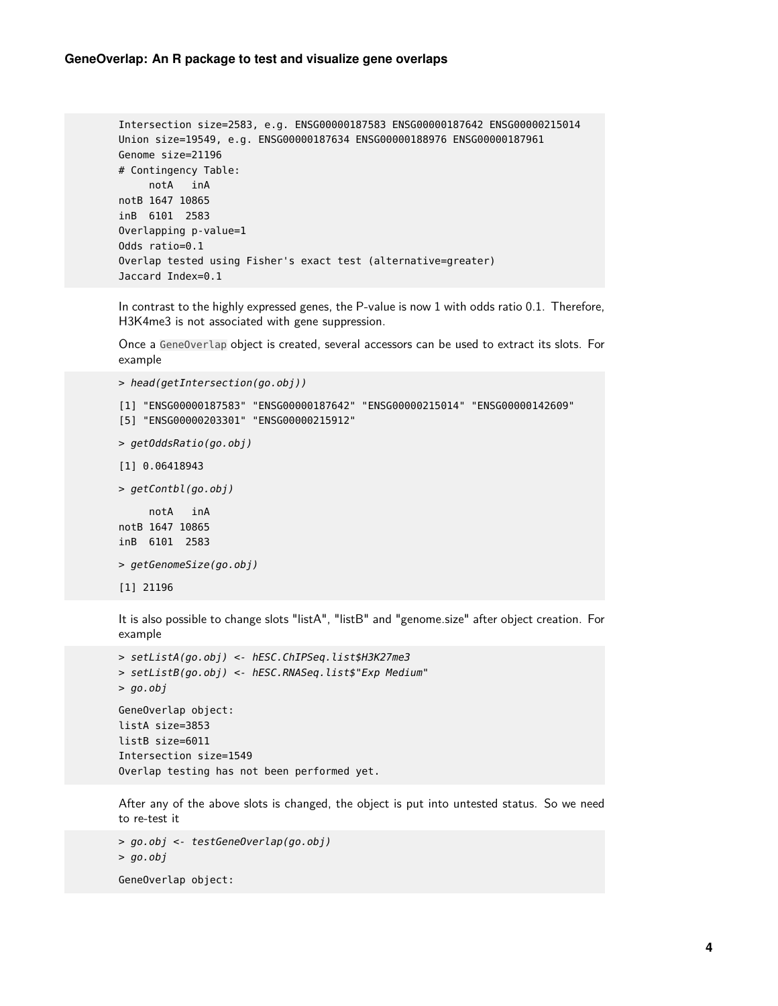```
Intersection size=2583, e.g. ENSG00000187583 ENSG00000187642 ENSG00000215014
Union size=19549, e.g. ENSG00000187634 ENSG00000188976 ENSG00000187961
Genome size=21196
# Contingency Table:
     notA inA
notB 1647 10865
inB 6101 2583
Overlapping p-value=1
Odds ratio=0.1
Overlap tested using Fisher's exact test (alternative=greater)
Jaccard Index=0.1
```
In contrast to the highly expressed genes, the P-value is now 1 with odds ratio 0.1. Therefore, H3K4me3 is not associated with gene suppression.

Once a GeneOverlap object is created, several accessors can be used to extract its slots. For example

```
> head(getIntersection(go.obj))
[1] "ENSG00000187583" "ENSG00000187642" "ENSG00000215014" "ENSG00000142609"
[5] "ENSG00000203301" "ENSG00000215912"
> getOddsRatio(go.obj)
[1] 0.06418943
> getContbl(go.obj)
     notA inA
notB 1647 10865
inB 6101 2583
> getGenomeSize(go.obj)
[1] 21196
```
It is also possible to change slots "listA", "listB" and "genome.size" after object creation. For example

```
> setListA(go.obj) <- hESC.ChIPSeq.list$H3K27me3
> setListB(go.obj) <- hESC.RNASeq.list$"Exp Medium"
> go.obj
GeneOverlap object:
listA size=3853
listB size=6011
Intersection size=1549
Overlap testing has not been performed yet.
```
After any of the above slots is changed, the object is put into untested status. So we need to re-test it

```
> go.obj <- testGeneOverlap(go.obj)
> go.obj
GeneOverlap object:
```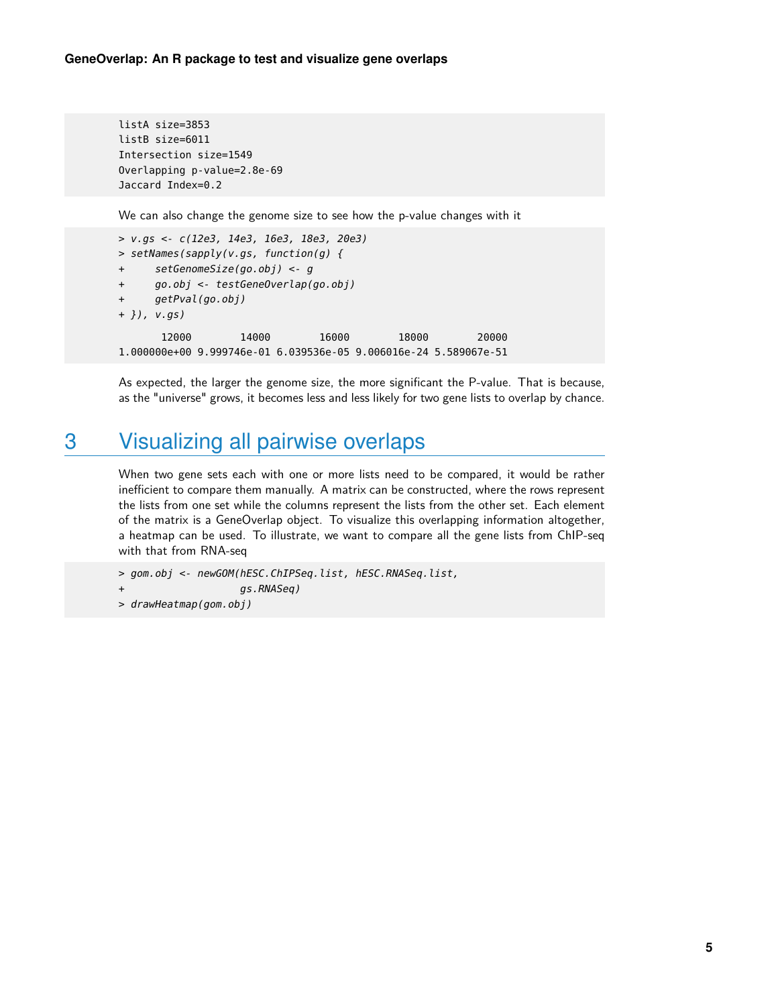```
listA size=3853
listB size=6011
Intersection size=1549
Overlapping p-value=2.8e-69
Jaccard Index=0.2
```
We can also change the genome size to see how the p-value changes with it

```
> v.gs <- c(12e3, 14e3, 16e3, 18e3, 20e3)
> setNames(sapply(v.gs, function(g) {
+ setGenomeSize(go.obj) <- g
+ go.obj <- testGeneOverlap(go.obj)
+ getPval(go.obj)
+ }), v.gs)
      12000 14000 16000 18000 20000
1.000000e+00 9.999746e-01 6.039536e-05 9.006016e-24 5.589067e-51
```
<span id="page-4-0"></span>As expected, the larger the genome size, the more significant the P-value. That is because, as the "universe" grows, it becomes less and less likely for two gene lists to overlap by chance.

## 3 Visualizing all pairwise overlaps

When two gene sets each with one or more lists need to be compared, it would be rather inefficient to compare them manually. A matrix can be constructed, where the rows represent the lists from one set while the columns represent the lists from the other set. Each element of the matrix is a GeneOverlap object. To visualize this overlapping information altogether, a heatmap can be used. To illustrate, we want to compare all the gene lists from ChIP-seq with that from RNA-seq

```
> gom.obj <- newGOM(hESC.ChIPSeq.list, hESC.RNASeq.list,
+ gs.RNASeq)
> drawHeatmap(gom.obj)
```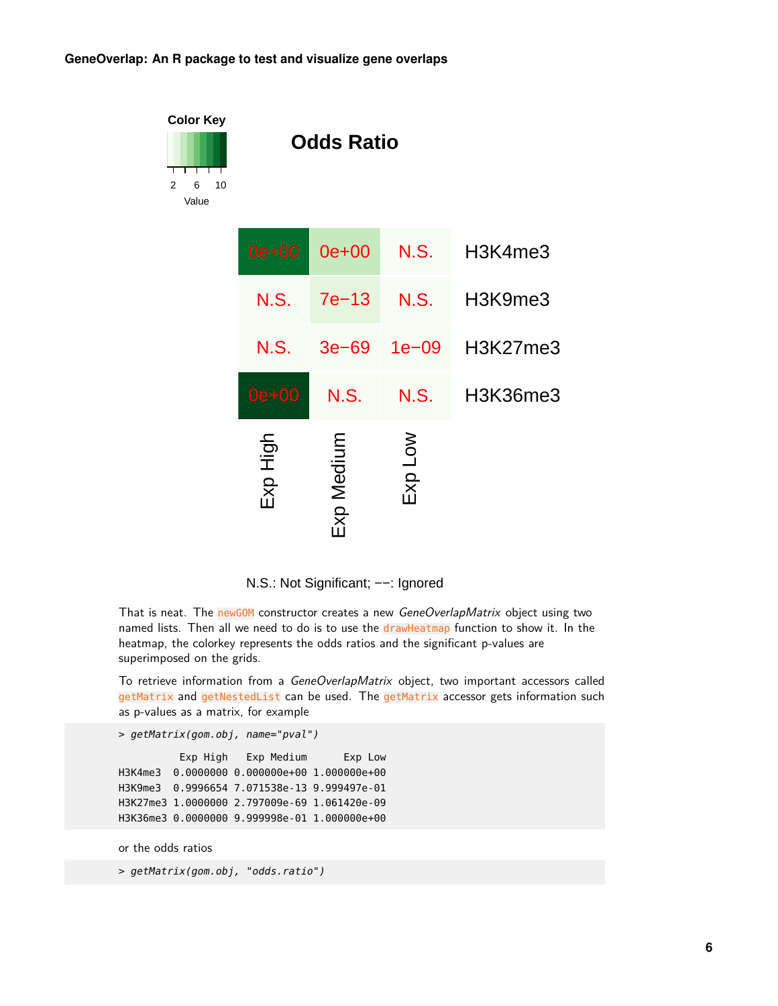



That is neat. The newGOM constructor creates a new GeneOverlapMatrix object using two named lists. Then all we need to do is to use the drawHeatmap function to show it. In the heatmap, the colorkey represents the odds ratios and the significant p-values are superimposed on the grids.

To retrieve information from a GeneOverlapMatrix object, two important accessors called getMatrix and getNestedList can be used. The getMatrix accessor gets information such as p-values as a matrix, for example

```
> getMatrix(gom.obj, name="pval")
```
Exp High Exp Medium Exp Low H3K4me3 0.0000000 0.000000e+00 1.000000e+00 H3K9me3 0.9996654 7.071538e-13 9.999497e-01 H3K27me3 1.0000000 2.797009e-69 1.061420e-09 H3K36me3 0.0000000 9.999998e-01 1.000000e+00

or the odds ratios

> getMatrix(gom.obj, "odds.ratio")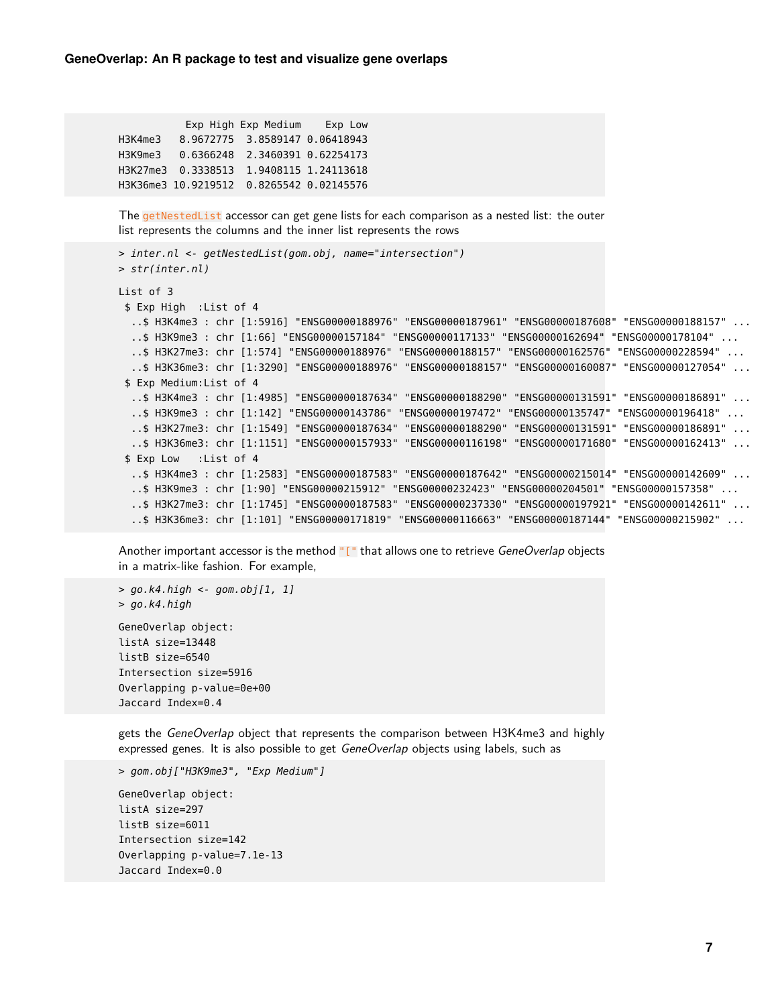|         | Exp High Exp Medium                      | Exp Low |
|---------|------------------------------------------|---------|
| H3K4me3 | 8.9672775 3.8589147 0.06418943           |         |
| H3K9me3 | 0.6366248 2.3460391 0.62254173           |         |
|         | H3K27me3 0.3338513 1.9408115 1.24113618  |         |
|         | H3K36me3 10.9219512 0.8265542 0.02145576 |         |

The getNestedList accessor can get gene lists for each comparison as a nested list: the outer list represents the columns and the inner list represents the rows

```
> inter.nl <- getNestedList(gom.obj, name="intersection")
> str(inter.nl)
List of 3
 $ Exp High :List of 4
  ..$ H3K4me3 : chr [1:5916] "ENSG00000188976" "ENSG00000187961" "ENSG00000187608" "ENSG00000188157" ...
  ..$ H3K9me3 : chr [1:66] "ENSG00000157184" "ENSG00000117133" "ENSG00000162694" "ENSG00000178104" ...
  ..$ H3K27me3: chr [1:574] "ENSG00000188976" "ENSG00000188157" "ENSG00000162576" "ENSG00000228594" ...
  ..$ H3K36me3: chr [1:3290] "ENSG00000188976" "ENSG00000188157" "ENSG00000160087" "ENSG00000127054" ...
 $ Exp Medium:List of 4
  ..$ H3K4me3 : chr [1:4985] "ENSG00000187634" "ENSG00000188290" "ENSG00000131591" "ENSG00000186891" ...
  ..$ H3K9me3 : chr [1:142] "ENSG00000143786" "ENSG00000197472" "ENSG00000135747" "ENSG00000196418" ...
  ..$ H3K27me3: chr [1:1549] "ENSG00000187634" "ENSG00000188290" "ENSG00000131591" "ENSG00000186891" ...
  ..$ H3K36me3: chr [1:1151] "ENSG00000157933" "ENSG00000116198" "ENSG00000171680" "ENSG00000162413" ...
 $ Exp Low :List of 4
  ..$ H3K4me3 : chr [1:2583] "ENSG00000187583" "ENSG00000187642" "ENSG00000215014" "ENSG00000142609" ...
  ..$ H3K9me3 : chr [1:90] "ENSG00000215912" "ENSG00000232423" "ENSG00000204501" "ENSG00000157358" ...
  ..$ H3K27me3: chr [1:1745] "ENSG00000187583" "ENSG00000237330" "ENSG00000197921" "ENSG00000142611" ...
  ..$ H3K36me3: chr [1:101] "ENSG00000171819" "ENSG00000116663" "ENSG00000187144" "ENSG00000215902" ...
```
Another important accessor is the method "[" that allows one to retrieve GeneOverlap objects in a matrix-like fashion. For example,

```
> go.k4.high < qom.obj[1, 1]> go.k4.high
GeneOverlap object:
listA size=13448
listB size=6540
Intersection size=5916
Overlapping p-value=0e+00
Jaccard Index=0.4
```
gets the GeneOverlap object that represents the comparison between H3K4me3 and highly expressed genes. It is also possible to get GeneOverlap objects using labels, such as

```
> gom.obj["H3K9me3", "Exp Medium"]
```

```
GeneOverlap object:
listA size=297
listB size=6011
Intersection size=142
Overlapping p-value=7.1e-13
Jaccard Index=0.0
```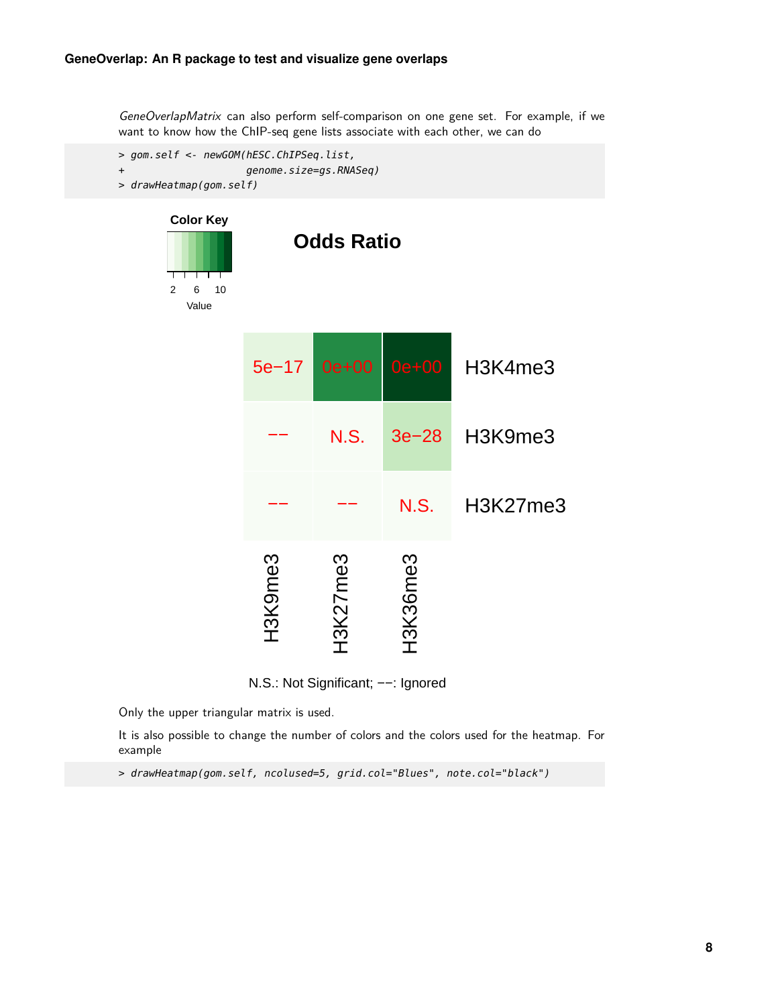GeneOverlapMatrix can also perform self-comparison on one gene set. For example, if we want to know how the ChIP-seq gene lists associate with each other, we can do



N.S.: Not Significant; −−: Ignored

Only the upper triangular matrix is used.

It is also possible to change the number of colors and the colors used for the heatmap. For example

> drawHeatmap(gom.self, ncolused=5, grid.col="Blues", note.col="black")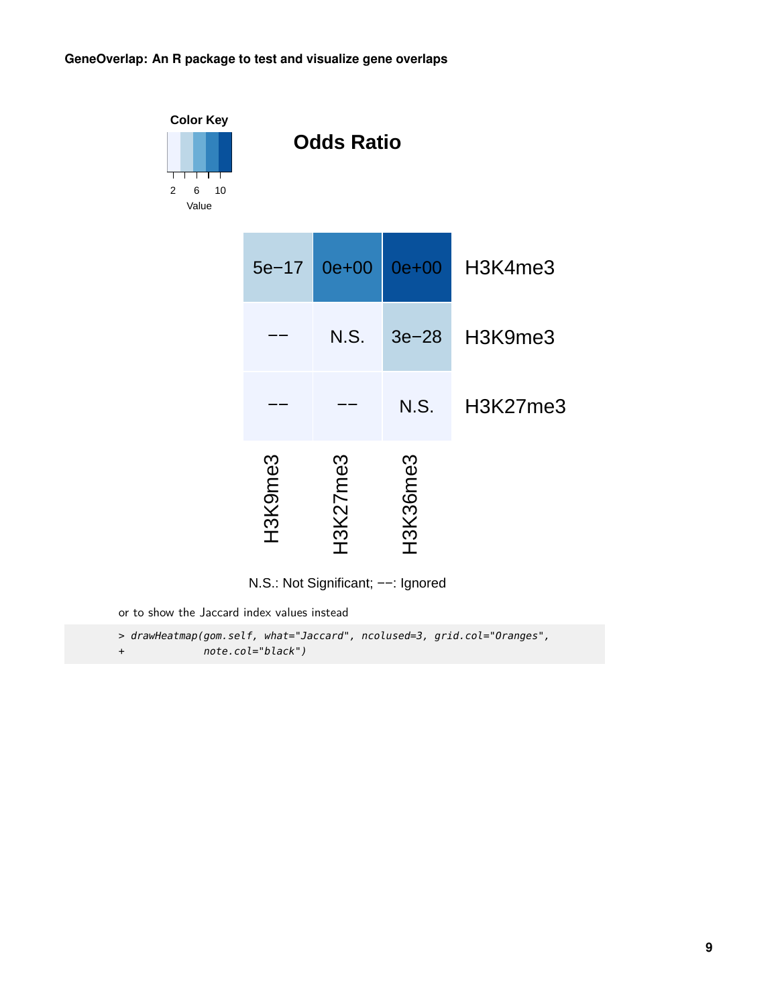



or to show the Jaccard index values instead

> drawHeatmap(gom.self, what="Jaccard", ncolused=3, grid.col="Oranges", + note.col="black")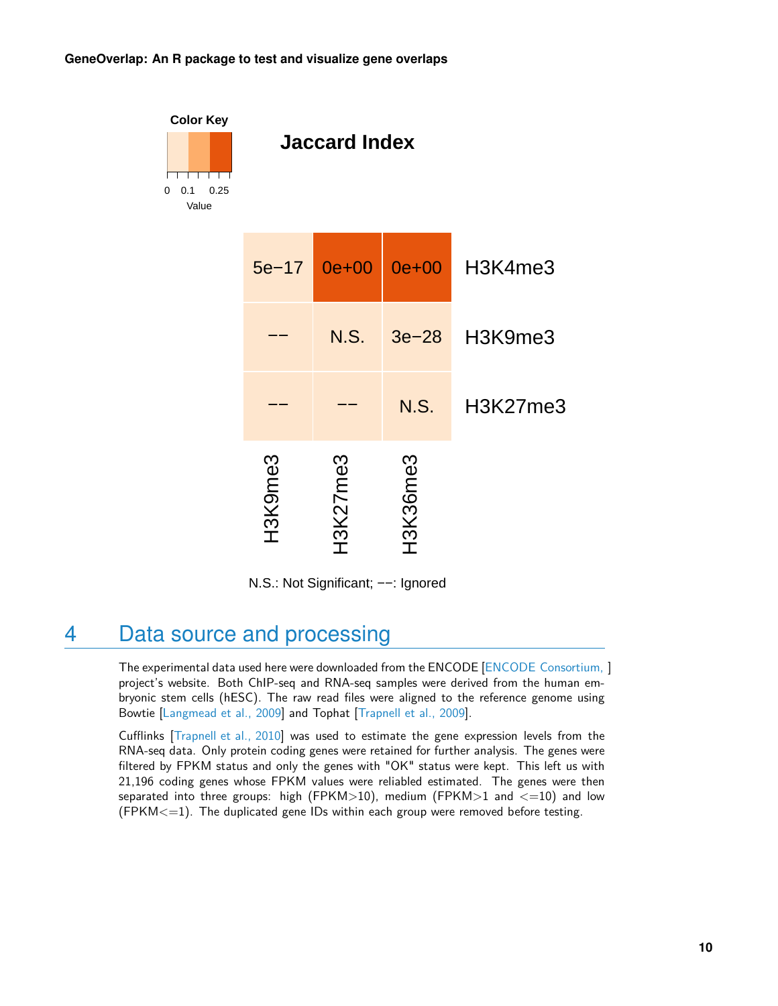

N.S.: Not Significant; −−: Ignored

### <span id="page-9-0"></span>4 Data source and processing

The experimental data used here were downloaded from the ENCODE [\[ENCODE Consortium,](#page-10-1) ] project's website. Both ChIP-seq and RNA-seq samples were derived from the human embryonic stem cells (hESC). The raw read files were aligned to the reference genome using Bowtie [\[Langmead et al., 2009\]](#page-10-2) and Tophat [\[Trapnell et al., 2009\]](#page-11-0).

Cufflinks [\[Trapnell et al., 2010\]](#page-11-1) was used to estimate the gene expression levels from the RNA-seq data. Only protein coding genes were retained for further analysis. The genes were filtered by FPKM status and only the genes with "OK" status were kept. This left us with 21,196 coding genes whose FPKM values were reliabled estimated. The genes were then separated into three groups: high (FPKM>10), medium (FPKM>1 and  $\lt=10$ ) and low  $(FPKM \leq 1)$ . The duplicated gene IDs within each group were removed before testing.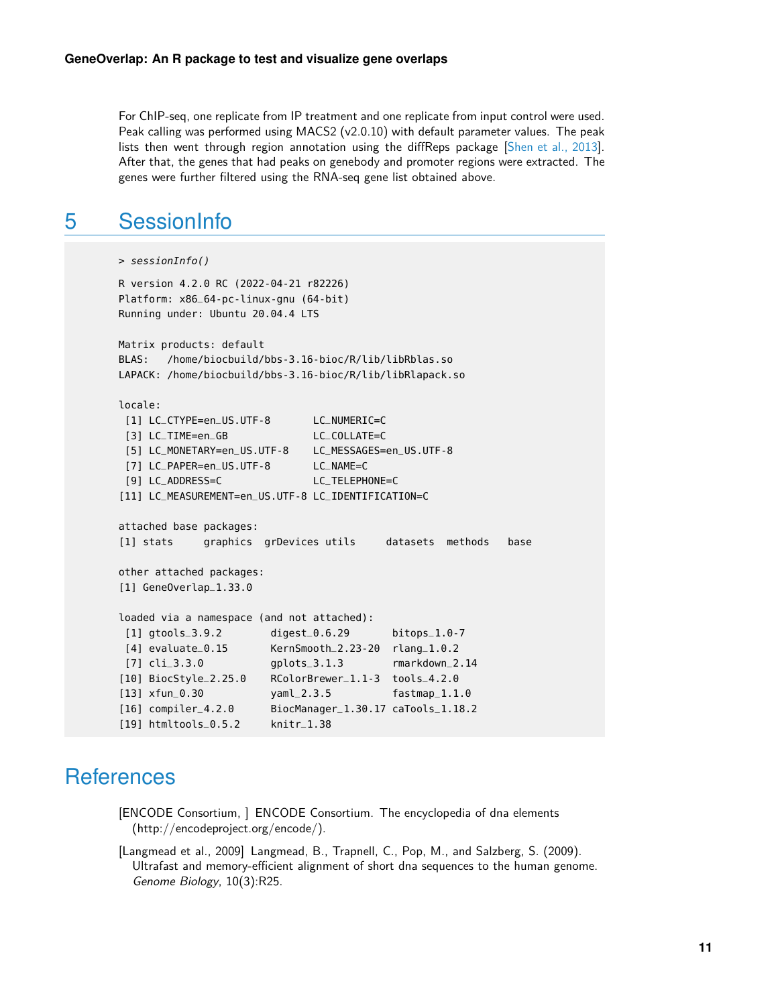For ChIP-seq, one replicate from IP treatment and one replicate from input control were used. Peak calling was performed using MACS2 (v2.0.10) with default parameter values. The peak lists then went through region annotation using the diffReps package [\[Shen et al., 2013\]](#page-11-2). After that, the genes that had peaks on genebody and promoter regions were extracted. The genes were further filtered using the RNA-seq gene list obtained above.

#### <span id="page-10-0"></span>5 SessionInfo

```
> sessionInfo()
R version 4.2.0 RC (2022-04-21 r82226)
Platform: x86_64-pc-linux-gnu (64-bit)
Running under: Ubuntu 20.04.4 LTS
Matrix products: default
BLAS: /home/biocbuild/bbs-3.16-bioc/R/lib/libRblas.so
LAPACK: /home/biocbuild/bbs-3.16-bioc/R/lib/libRlapack.so
locale:
 [1] LC_CTYPE=en_US.UTF-8 LC_NUMERIC=C
 [3] LC_TIME=en_GB LC_COLLATE=C
 [5] LC_MONETARY=en_US.UTF-8 LC_MESSAGES=en_US.UTF-8
 [7] LC_PAPER=en_US.UTF-8 LC_NAME=C
 [9] LC_ADDRESS=C LC_TELEPHONE=C
[11] LC_MEASUREMENT=en_US.UTF-8 LC_IDENTIFICATION=C
attached base packages:
[1] stats graphics grDevices utils datasets methods base
other attached packages:
[1] GeneOverlap_1.33.0
loaded via a namespace (and not attached):
 [1] gtools_3.9.2 digest_0.6.29 bitops_1.0-7
 [4] evaluate_0.15 KernSmooth_2.23-20 rlang_1.0.2
 [7] cli_3.3.0 gplots_3.1.3 rmarkdown_2.14
[10] BiocStyle_2.25.0 RColorBrewer_1.1-3 tools_4.2.0
[13] xfun_0.30 yaml_2.3.5 fastmap_1.1.0
[16] compiler_4.2.0 BiocManager_1.30.17 caTools_1.18.2
[19] htmltools_0.5.2 knitr_1.38
```
### **References**

<span id="page-10-1"></span>[ENCODE Consortium, ] ENCODE Consortium. The encyclopedia of dna elements (http://encodeproject.org/encode/).

<span id="page-10-2"></span>[Langmead et al., 2009] Langmead, B., Trapnell, C., Pop, M., and Salzberg, S. (2009). Ultrafast and memory-efficient alignment of short dna sequences to the human genome. Genome Biology, 10(3):R25.